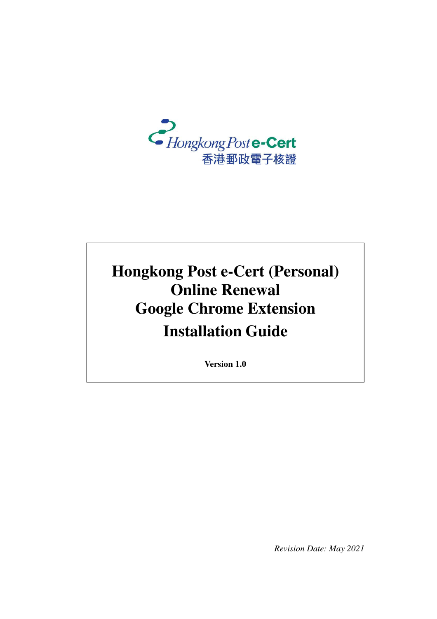

# **Hongkong Post e-Cert (Personal) Online Renewal Google Chrome Extension Installation Guide**

**Version 1.0**

*Revision Date: May 2021*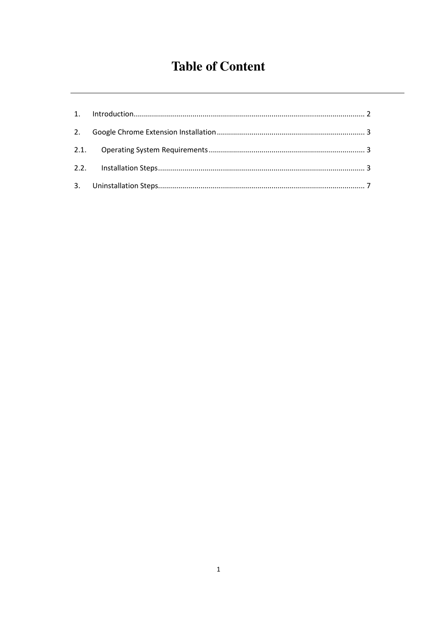## **Table of Content**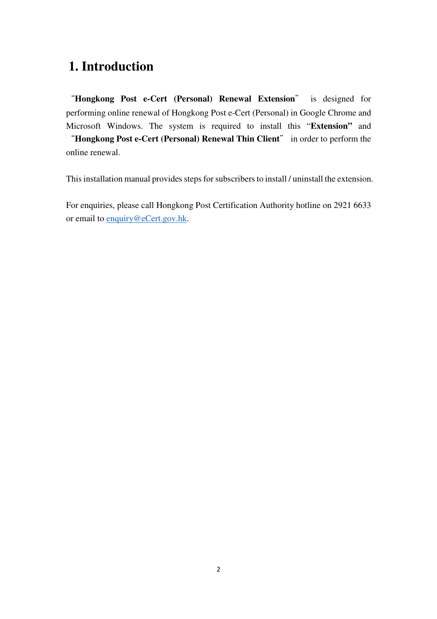#### **1. Introduction**

"**Hongkong Post e-Cert (Personal) Renewal Extension**" is designed for performing online renewal of Hongkong Post e-Cert (Personal) in Google Chrome and Microsoft Windows. The system is required to install this "**Extension"** and "**Hongkong Post e-Cert (Personal) Renewal Thin Client**" in order to perform the online renewal.

This installation manual provides steps for subscribers to install / uninstall the extension.

For enquiries, please call Hongkong Post Certification Authority hotline on 2921 6633 or email to enquiry@eCert.gov.hk.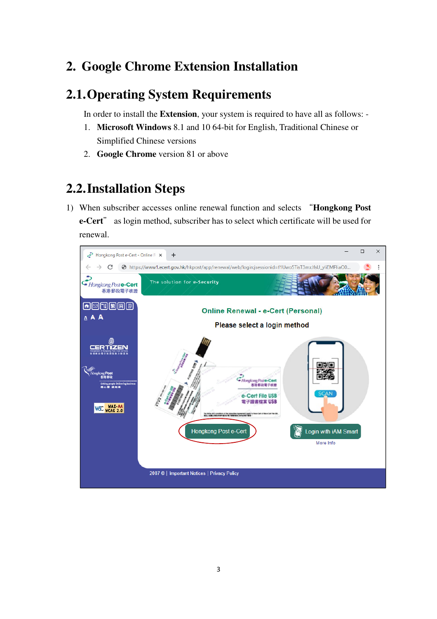## **2. Google Chrome Extension Installation**

### **2.1.Operating System Requirements**

In order to install the **Extension**, your system is required to have all as follows: -

- 1. **Microsoft Windows** 8.1 and 10 64-bit for English, Traditional Chinese or Simplified Chinese versions
- 2. **Google Chrome** version 81 or above

## **2.2.Installation Steps**

1) When subscriber accesses online renewal function and selects "**Hongkong Post e-Cert**" as login method, subscriber has to select which certificate will be used for renewal.

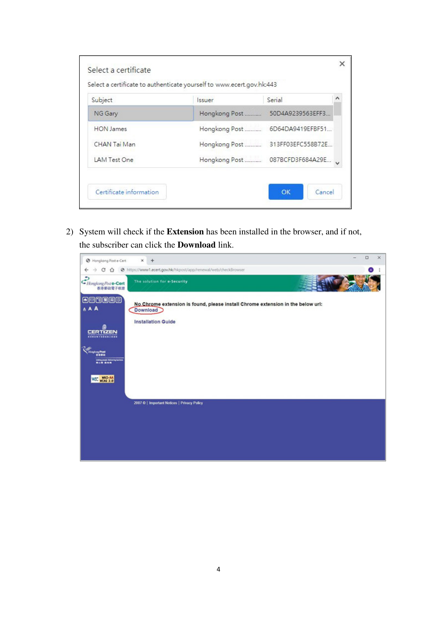| Subject          | <i>ssuer</i>  | Serial            | ۸ |
|------------------|---------------|-------------------|---|
| NG Gary          | Hongkong Post | 50D4A9239563EFF3  |   |
| <b>HON</b> James | Hongkong Post | 6D64DA9419EFBF51  |   |
| CHAN Tai Man     | Hongkong Post | 313FF03EFC558B72E |   |
| LAM Test One     | Hongkong Post | 087BCFD3F684A29E  |   |

2) System will check if the **Extension** has been installed in the browser, and if not, the subscriber can click the **Download** link.

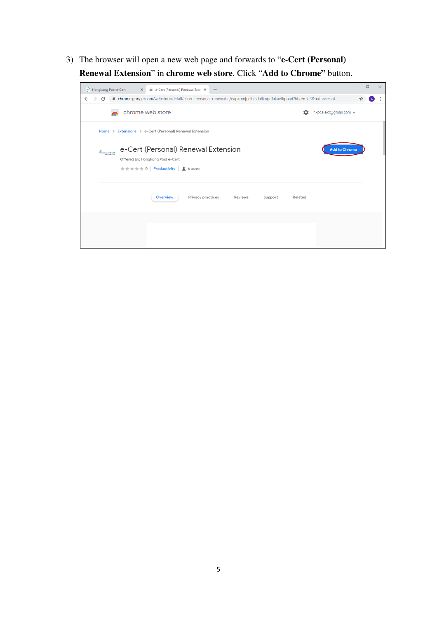3) The browser will open a new web page and forwards to "**e-Cert (Personal) Renewal Extension**" in **chrome web store**. Click "**Add to Chrome"** button.

| Hongkong Post e-Cert<br>e-Cert (Personal) Renewal Exter X<br>$+$<br>$\times$                                                                                                                            |                      | $\Box$ | $\times$ |  |  |
|---------------------------------------------------------------------------------------------------------------------------------------------------------------------------------------------------------|----------------------|--------|----------|--|--|
| A chrome.google.com/webstore/detail/e-cert-personal-renewal-e/eapkmojpciblcdaiiknpdfakaefkpnad?hl=en-US&authuser=4<br>C                                                                                 |                      |        |          |  |  |
| chrome web store<br>hkpca.ext@gmail.com v<br>n                                                                                                                                                          |                      |        |          |  |  |
| Home > Extensions > e-Cert (Personal) Renewal Extension                                                                                                                                                 |                      |        |          |  |  |
| e-Cert (Personal) Renewal Extension<br>$\mathcal{C}^{\mathcal{D}}_{\mathit{Haglog} \mathit{flue}\text{-\textsf{Cat}}}$<br>Offered by: Hongkong Post e-Cert<br>★★★★★ 0   Productivity   <u>●</u> 6 users | <b>Add to Chrome</b> |        |          |  |  |
| Privacy practices<br><b>Overview</b><br>Reviews<br>Support<br>Related                                                                                                                                   |                      |        |          |  |  |
|                                                                                                                                                                                                         |                      |        |          |  |  |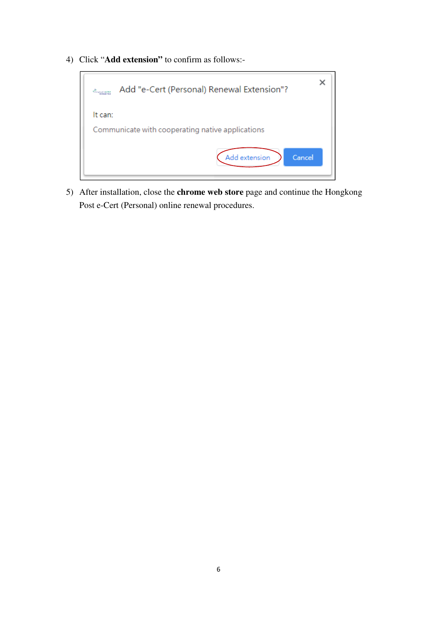4) Click "**Add extension"** to confirm as follows:-



5) After installation, close the **chrome web store** page and continue the Hongkong Post e-Cert (Personal) online renewal procedures.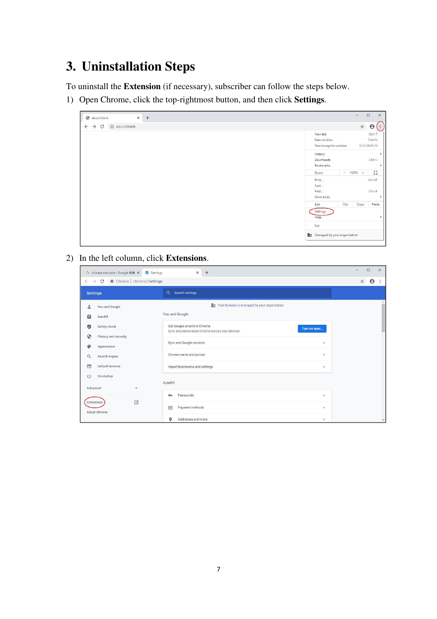# **3. Uninstallation Steps**

To uninstall the **Extension** (if necessary), subscriber can follow the steps below.

1) Open Chrome, click the top-rightmost button, and then click **Settings**.

| $\times$<br>S about:blank<br>$+$                    | $\times$<br>$\Box$<br>$-$                                                                       |
|-----------------------------------------------------|-------------------------------------------------------------------------------------------------|
| 1 about:blank<br>$\rightarrow$<br>C<br>$\leftarrow$ | $\frac{1}{24}$<br>$\boldsymbol{\Theta}$<br>$\ddot{\phantom{a}}$                                 |
|                                                     | $Ctrl + T$<br>New tab<br>$Ctrl + N$<br>New window<br>$Ctrl + Shift + N$<br>New incognito window |
|                                                     | History<br>×<br>$Ctrl + J$<br>Downloads<br>Bookmarks<br>×                                       |
|                                                     | 11<br>$- 100%$<br>Zoom<br>$+$                                                                   |
|                                                     | $Ctrl + P$<br>Print<br>Cast<br>$Ctrl + F$<br>Find<br>More tools                                 |
|                                                     | Paste<br>Edit<br>Cut<br>Copy                                                                    |
|                                                     | Settings<br>Help                                                                                |
|                                                     | Exit                                                                                            |
|                                                     | Managed by your organization                                                                    |

2) In the left column, click **Extensions**.

| G chinese translate - Google 搜尋 ×                                                 | $\Box$<br>$\times$<br>-              |                                                                                                |              |  |  |
|-----------------------------------------------------------------------------------|--------------------------------------|------------------------------------------------------------------------------------------------|--------------|--|--|
| $\Theta$<br>C<br>Chrome   chrome://settings<br>☆<br>$\rightarrow$<br>$\leftarrow$ |                                      |                                                                                                |              |  |  |
| <b>Settings</b>                                                                   |                                      | $\alpha$<br>Search settings                                                                    |              |  |  |
| ۰                                                                                 | You and Google                       | 脚<br>Your browser is managed by your organization                                              |              |  |  |
| 自                                                                                 | Autofill                             | You and Google                                                                                 |              |  |  |
| Ø                                                                                 | Safety check                         | Get Google smarts in Chrome<br>Turn on sync<br>Sync and personalize Chrome across your devices |              |  |  |
| ⊕                                                                                 | Privacy and security                 | Sync and Google services<br>٠                                                                  |              |  |  |
|                                                                                   | Appearance                           | Chrome name and picture<br>×                                                                   |              |  |  |
| Q                                                                                 | Search engine<br>Default browser     | Import bookmarks and settings                                                                  |              |  |  |
| ⊟<br>$\cup$<br>On startup                                                         |                                      | ٠                                                                                              |              |  |  |
|                                                                                   | Autofill<br>Advanced<br>$\mathbf{v}$ |                                                                                                |              |  |  |
|                                                                                   |                                      | Passwords<br>$\rightarrow$<br>$O_T$                                                            |              |  |  |
| Extensions                                                                        | 乙<br>About Chrome                    | Payment methods<br>目<br>$\,$                                                                   |              |  |  |
|                                                                                   |                                      | Addresses and more<br>۰<br>$\,$                                                                | $\mathbf{v}$ |  |  |